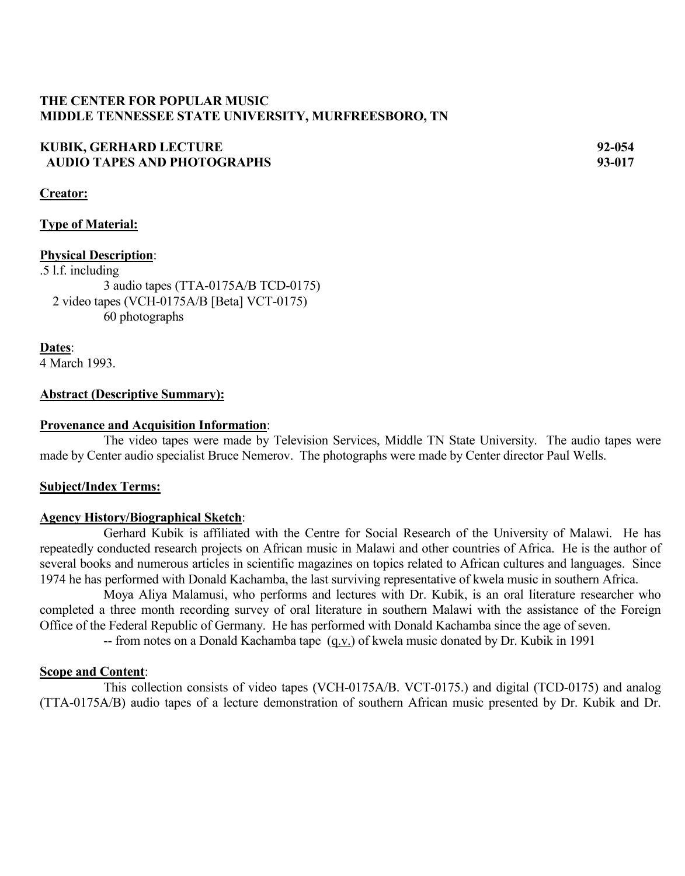### **THE CENTER FOR POPULAR MUSIC MIDDLE TENNESSEE STATE UNIVERSITY, MURFREESBORO, TN**

## **KUBIK, GERHARD LECTURE 92-054 AUDIO TAPES AND PHOTOGRAPHS 93-017**

**Creator:**

#### **Type of Material:**

#### **Physical Description**:

 $\overline{.5}$  l.f. including 3 audio tapes (TTA-0175A/B TCD-0175) 2 video tapes (VCH-0175A/B [Beta] VCT-0175) 60 photographs

**Dates**: 4 March 1993.

#### **Abstract (Descriptive Summary):**

#### **Provenance and Acquisition Information**:

The video tapes were made by Television Services, Middle TN State University. The audio tapes were made by Center audio specialist Bruce Nemerov. The photographs were made by Center director Paul Wells.

#### **Subject/Index Terms:**

#### **Agency History/Biographical Sketch**:

Gerhard Kubik is affiliated with the Centre for Social Research of the University of Malawi. He has repeatedly conducted research projects on African music in Malawi and other countries of Africa. He is the author of several books and numerous articles in scientific magazines on topics related to African cultures and languages. Since 1974 he has performed with Donald Kachamba, the last surviving representative of kwela music in southern Africa.

Moya Aliya Malamusi, who performs and lectures with Dr. Kubik, is an oral literature researcher who completed a three month recording survey of oral literature in southern Malawi with the assistance of the Foreign Office of the Federal Republic of Germany. He has performed with Donald Kachamba since the age of seven.

-- from notes on a Donald Kachamba tape (q.v.) of kwela music donated by Dr. Kubik in 1991

#### **Scope and Content**:

This collection consists of video tapes (VCH-0175A/B. VCT-0175.) and digital (TCD-0175) and analog (TTA-0175A/B) audio tapes of a lecture demonstration of southern African music presented by Dr. Kubik and Dr.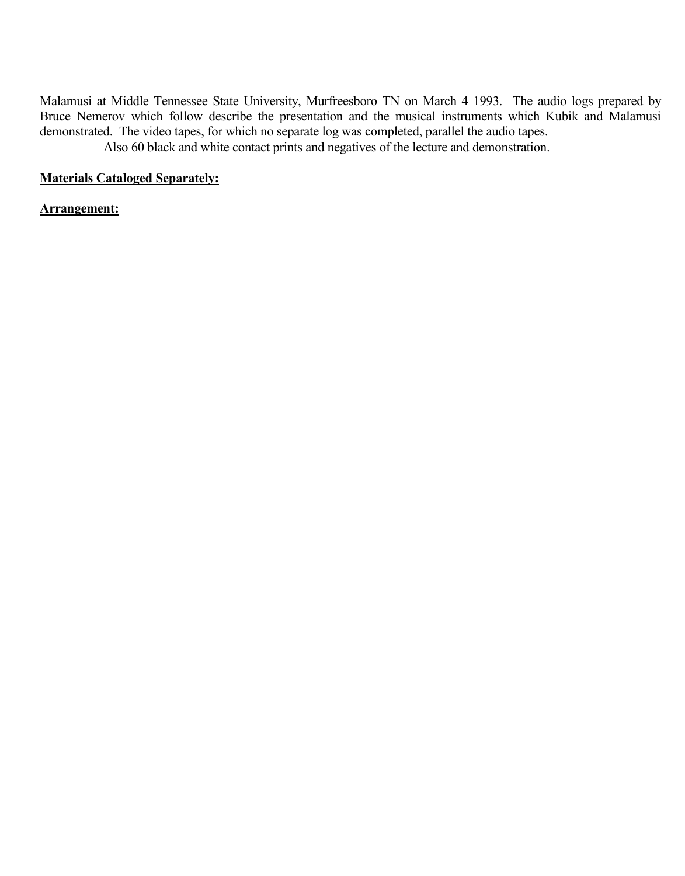Malamusi at Middle Tennessee State University, Murfreesboro TN on March 4 1993. The audio logs prepared by Bruce Nemerov which follow describe the presentation and the musical instruments which Kubik and Malamusi demonstrated. The video tapes, for which no separate log was completed, parallel the audio tapes. Also 60 black and white contact prints and negatives of the lecture and demonstration.

**Materials Cataloged Separately:**

#### **Arrangement:**